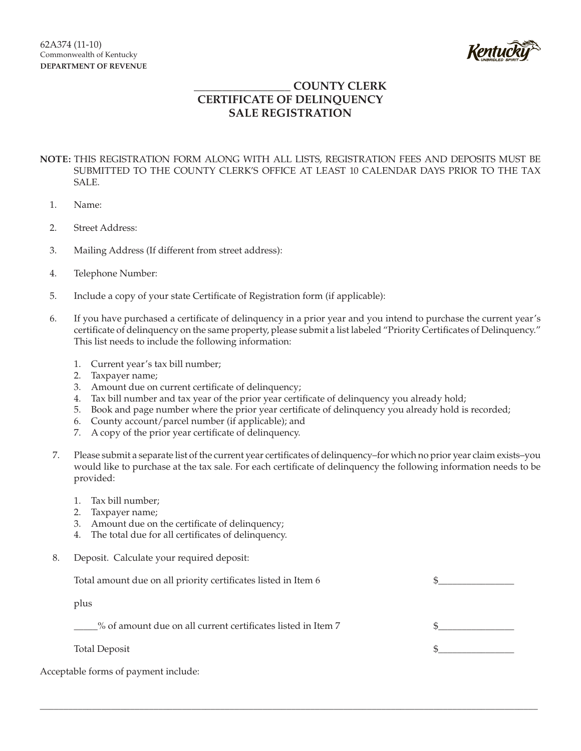

## **\_\_\_\_\_\_\_\_\_\_\_\_\_\_\_\_\_ COUNTY CLERK CERTIFICATE OF DELINQUENCY SALE REGISTRATION**

## **NOTE:** THIS REGISTRATION FORM ALONG WITH ALL LISTS, REGISTRATION FEES AND DEPOSITS MUST BE SUBMITTED TO THE COUNTY CLERK'S OFFICE AT LEAST 10 CALENDAR DAYS PRIOR TO THE TAX SALE.

- 1. Name:
- 2. Street Address:
- 3. Mailing Address (If different from street address):
- 4. Telephone Number:
- 5. Include a copy of your state Certificate of Registration form (if applicable):
- 6. If you have purchased a certificate of delinquency in a prior year and you intend to purchase the current year's certificate of delinquency on the same property, please submit a list labeled "Priority Certificates of Delinquency." This list needs to include the following information:
	- 1. Current year's tax bill number;
	- 2. Taxpayer name;
	- 3. Amount due on current certificate of delinquency;
	- 4. Tax bill number and tax year of the prior year certificate of delinquency you already hold;
	- 5. Book and page number where the prior year certificate of delinquency you already hold is recorded;
	- 6. County account/parcel number (if applicable); and
	- 7. A copy of the prior year certificate of delinquency.
- 7. Please submit a separate list of the current year certificates of delinquency–for which no prior year claim exists–you would like to purchase at the tax sale. For each certificate of delinquency the following information needs to be provided:
	- 1. Tax bill number;
	- 2. Taxpayer name;
	- 3. Amount due on the certificate of delinquency;
	- 4. The total due for all certificates of delinquency.
- 8. Deposit. Calculate your required deposit:

| Total amount due on all priority certificates listed in Item 6 |  |
|----------------------------------------------------------------|--|
| plus                                                           |  |
| % of amount due on all current certificates listed in Item 7   |  |
| <b>Total Deposit</b>                                           |  |
|                                                                |  |

\_\_\_\_\_\_\_\_\_\_\_\_\_\_\_\_\_\_\_\_\_\_\_\_\_\_\_\_\_\_\_\_\_\_\_\_\_\_\_\_\_\_\_\_\_\_\_\_\_\_\_\_\_\_\_\_\_\_\_\_\_\_\_\_\_\_\_\_\_\_\_\_\_\_\_\_\_\_\_\_\_\_\_\_\_\_\_\_\_\_\_\_\_\_\_\_\_\_\_\_\_\_\_\_\_

Acceptable forms of payment include: